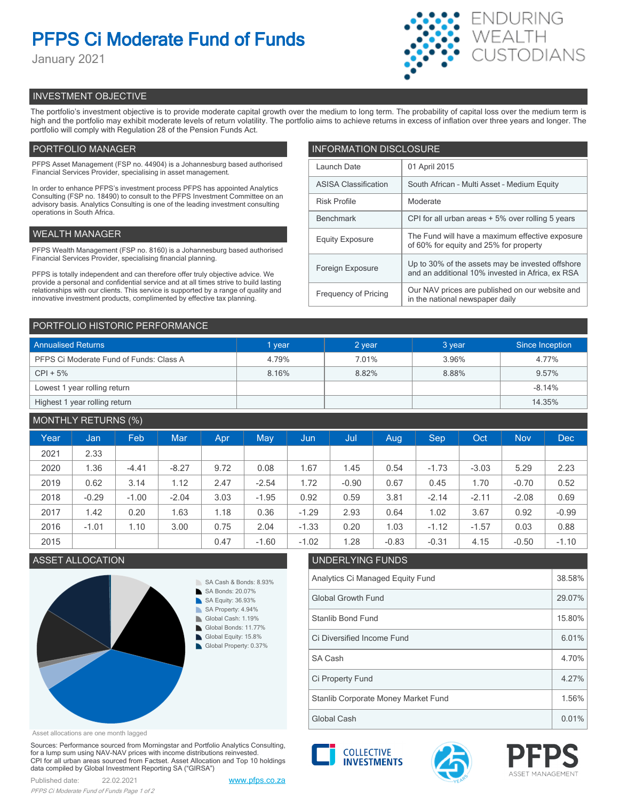# **PFPS Ci Moderate Fund of Funds**

January 2021



# INVESTMENT OBJECTIVE

The portfolio's investment objective is to provide moderate capital growth over the medium to long term. The probability of capital loss over the medium term is high and the portfolio may exhibit moderate levels of return volatility. The portfolio aims to achieve returns in excess of inflation over three years and longer. The portfolio will comply with Regulation 28 of the Pension Funds Act.

# PORTFOLIO MANAGER

PFPS Asset Management (FSP no. 44904) is a Johannesburg based authorised Financial Services Provider, specialising in asset management.

In order to enhance PFPS's investment process PFPS has appointed Analytics Consulting (FSP no. 18490) to consult to the PFPS Investment Committee on an advisory basis. Analytics Consulting is one of the leading investment consulting operations in South Africa.

## WEALTH MANAGER

PFPS Wealth Management (FSP no. 8160) is a Johannesburg based authorised Financial Services Provider, specialising financial planning.

PFPS is totally independent and can therefore offer truly objective advice. We provide a personal and confidential service and at all times strive to build lasting relationships with our clients. This service is supported by a range of quality and innovative investment products, complimented by effective tax planning.

| <b>INFORMATION DISCLOSURE</b> |                                                                                                      |  |  |  |
|-------------------------------|------------------------------------------------------------------------------------------------------|--|--|--|
| Launch Date                   | 01 April 2015                                                                                        |  |  |  |
| <b>ASISA Classification</b>   | South African - Multi Asset - Medium Equity                                                          |  |  |  |
| <b>Risk Profile</b>           | Moderate                                                                                             |  |  |  |
| <b>Benchmark</b>              | CPI for all urban areas + 5% over rolling 5 years                                                    |  |  |  |
| <b>Equity Exposure</b>        | The Fund will have a maximum effective exposure<br>of 60% for equity and 25% for property            |  |  |  |
| Foreign Exposure              | Up to 30% of the assets may be invested offshore<br>and an additional 10% invested in Africa, ex RSA |  |  |  |
| <b>Frequency of Pricing</b>   | Our NAV prices are published on our website and<br>in the national newspaper daily                   |  |  |  |

### PORTFOLIO HISTORIC PERFORMANCE

| <b>Annualised Returns</b>               | 1 year | 2 year | 3 year | Since Inception |
|-----------------------------------------|--------|--------|--------|-----------------|
| PFPS Ci Moderate Fund of Funds: Class A | 4.79%  | 7.01%  | 3.96%  | 4.77%           |
| $CPI + 5%$                              | 8.16%  | 8.82%  | 8.88%  | 9.57%           |
| Lowest 1 year rolling return            |        |        |        | $-8.14%$        |
| Highest 1 year rolling return           |        |        |        | 14.35%          |

# MONTHLY RETURNS (%)

|      |         | $\sim$ $\sim$ |            |      |         |         |         |         |         |         |            |            |
|------|---------|---------------|------------|------|---------|---------|---------|---------|---------|---------|------------|------------|
| Year | Jan     | Feb           | <b>Mar</b> | Apr  | May     | Jun     | Jul     | Aug.    | Sep     | Oct     | <b>Nov</b> | <b>Dec</b> |
| 2021 | 2.33    |               |            |      |         |         |         |         |         |         |            |            |
| 2020 | 1.36    | $-4.41$       | $-8.27$    | 9.72 | 0.08    | 1.67    | 1.45    | 0.54    | $-1.73$ | $-3.03$ | 5.29       | 2.23       |
| 2019 | 0.62    | 3.14          | 1.12       | 2.47 | $-2.54$ | 1.72    | $-0.90$ | 0.67    | 0.45    | 1.70    | $-0.70$    | 0.52       |
| 2018 | $-0.29$ | $-1.00$       | $-2.04$    | 3.03 | $-1.95$ | 0.92    | 0.59    | 3.81    | $-2.14$ | $-2.11$ | $-2.08$    | 0.69       |
| 2017 | 1.42    | 0.20          | 1.63       | 1.18 | 0.36    | $-1.29$ | 2.93    | 0.64    | 1.02    | 3.67    | 0.92       | $-0.99$    |
| 2016 | $-1.01$ | 1.10          | 3.00       | 0.75 | 2.04    | $-1.33$ | 0.20    | 1.03    | $-1.12$ | $-1.57$ | 0.03       | 0.88       |
| 2015 |         |               |            | 0.47 | $-1.60$ | $-1.02$ | 1.28    | $-0.83$ | $-0.31$ | 4.15    | $-0.50$    | $-1.10$    |



|                          | <b>Global Growth Fund</b> |
|--------------------------|---------------------------|
| 6<br>$\sqrt{2}$<br>$7\%$ | <b>Stanlib Bond Fund</b>  |
| $\frac{9}{6}$<br>37%     | Ci Diversified Income I   |
|                          | SA Cash                   |
|                          |                           |

# ASSET ALLOCATION UNDERLYING FUNDS Analytics Ci Managed Equity Fund 38.58% Global Growth Fund 29.07% 15.80% SA Cash  $\vert$  4.70% Ci Diversified Income Fund 6.01% Global Cash 0.01% Stanlib Corporate Money Market Fund 1.56% Ci Property Fund 4.27%

Asset allocations are one month lagged

Sources: Performance sourced from Morningstar and Portfolio Analytics Consulting, for a lump sum using NAV-NAV prices with income distributions reinvested. CPI for all urban areas sourced from Factset. Asset Allocation and Top 10 holdings data compiled by Global Investment Reporting SA ("GIRSA")